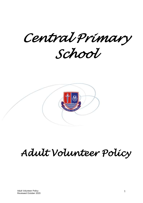*Central Primary* 

*School* 



# *Adult Volunteer Policy*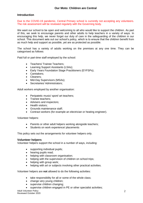## **Introduction**

Due to the COVID-19 pandemic, Central Primary school is currently not accepting any volunteers. The risk assessment will be reviewed regularly with the Governing body.

We want our school to be open and welcoming to all who would like to support the children. As part of this, we seek to encourage parents and other adults to help teachers in a variety of ways. In encouraging this help, we never forget our duty of care in the safeguarding of the children in our school. This document sets out our school's policy, which is to ensure that the children benefit from as much help and support as possible, yet are as protected as possible.

The school has a variety of adults working on the premises at any one time. They can be categorised as follows:

Paid full or part-time staff employed by the school:

- Teachers/ Trainee Teachers;
- Learning Support Assistants (LSAs);
- Early Years Foundation Stage Practitioners (EYFSPs);
- Caretakers;
- Cleaners:
- Mid-Day Supervisors (MSAs);
- Secretaries/ Administrators;

Adult workers employed by another organisation:

- Peripatetic music/ sport/ art teachers;
- Trainee teachers:
- Advisers and inspectors:
- Health visitors:
- Grounds maintenance staff;
- Contract workers (for example an electrician or heating engineer).

Volunteer helpers:

- Parents or other adult helpers working alongside teachers:
- Students on work experience/ placements

This policy sets out the arrangements for volunteer helpers only.

#### **Volunteer helpers**

Volunteer helpers support the school in a number of ways, including:

- supporting individual pupils;
- hearing pupils read;
- helping with classroom organisation;
- helping with the supervision of children on school trips:
- helping with group work;
- helping with art or subjects involving other practical activities.

Volunteer helpers are **not** allowed to do the following activities:

- take responsibility for all or some of the whole class;
- change very young children:
- supervise children changing:
- supervise children engaged in PE or other specialist activities;

Adult Volunteer Policy Reviewed October 2020